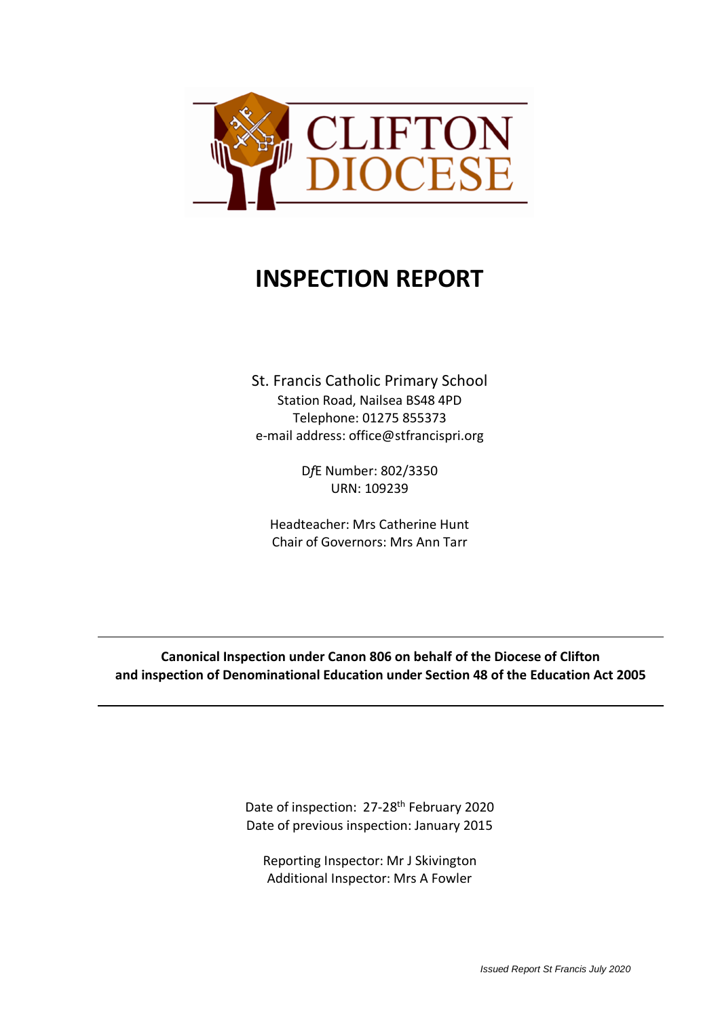

# **INSPECTION REPORT**

St. Francis Catholic Primary School Station Road, Nailsea BS48 4PD Telephone: 01275 855373 e-mail address: office@stfrancispri.org

> D*f*E Number: 802/3350 URN: 109239

Headteacher: Mrs Catherine Hunt Chair of Governors: Mrs Ann Tarr

**Canonical Inspection under Canon 806 on behalf of the Diocese of Clifton and inspection of Denominational Education under Section 48 of the Education Act 2005**

> Date of inspection: 27-28<sup>th</sup> February 2020 Date of previous inspection: January 2015

Reporting Inspector: Mr J Skivington Additional Inspector: Mrs A Fowler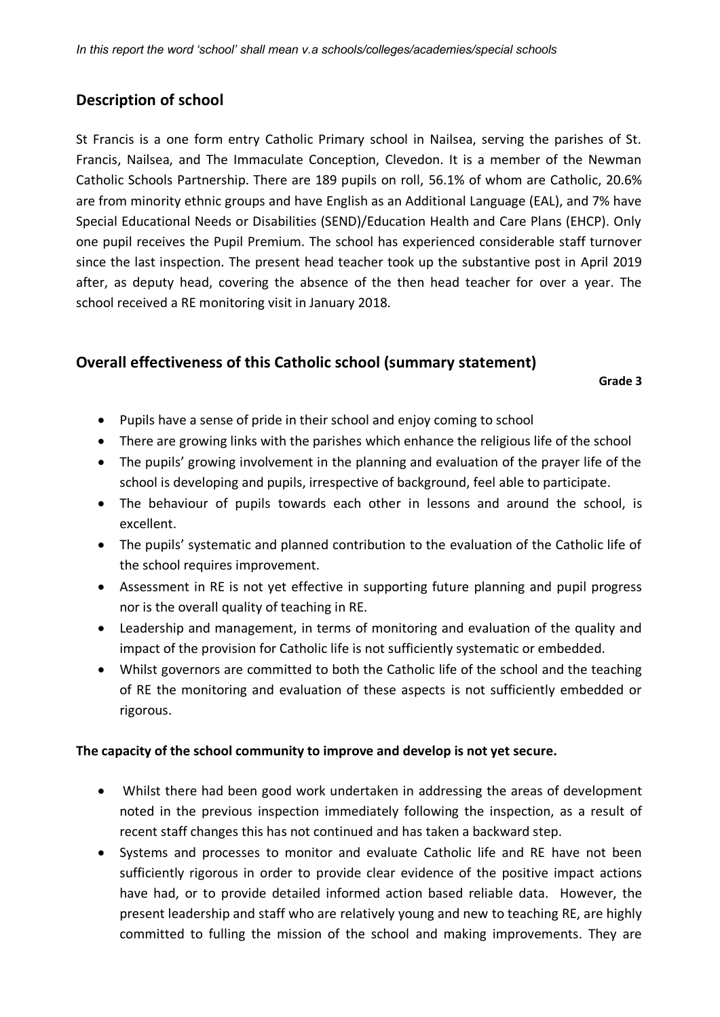# **Description of school**

St Francis is a one form entry Catholic Primary school in Nailsea, serving the parishes of St. Francis, Nailsea, and The Immaculate Conception, Clevedon. It is a member of the Newman Catholic Schools Partnership. There are 189 pupils on roll, 56.1% of whom are Catholic, 20.6% are from minority ethnic groups and have English as an Additional Language (EAL), and 7% have Special Educational Needs or Disabilities (SEND)/Education Health and Care Plans (EHCP). Only one pupil receives the Pupil Premium. The school has experienced considerable staff turnover since the last inspection. The present head teacher took up the substantive post in April 2019 after, as deputy head, covering the absence of the then head teacher for over a year. The school received a RE monitoring visit in January 2018.

# **Overall effectiveness of this Catholic school (summary statement)**

**Grade 3**

- Pupils have a sense of pride in their school and enjoy coming to school
- There are growing links with the parishes which enhance the religious life of the school
- The pupils' growing involvement in the planning and evaluation of the prayer life of the school is developing and pupils, irrespective of background, feel able to participate.
- The behaviour of pupils towards each other in lessons and around the school, is excellent.
- The pupils' systematic and planned contribution to the evaluation of the Catholic life of the school requires improvement.
- Assessment in RE is not yet effective in supporting future planning and pupil progress nor is the overall quality of teaching in RE.
- Leadership and management, in terms of monitoring and evaluation of the quality and impact of the provision for Catholic life is not sufficiently systematic or embedded.
- Whilst governors are committed to both the Catholic life of the school and the teaching of RE the monitoring and evaluation of these aspects is not sufficiently embedded or rigorous.

## **The capacity of the school community to improve and develop is not yet secure.**

- Whilst there had been good work undertaken in addressing the areas of development noted in the previous inspection immediately following the inspection, as a result of recent staff changes this has not continued and has taken a backward step.
- Systems and processes to monitor and evaluate Catholic life and RE have not been sufficiently rigorous in order to provide clear evidence of the positive impact actions have had, or to provide detailed informed action based reliable data. However, the present leadership and staff who are relatively young and new to teaching RE, are highly committed to fulling the mission of the school and making improvements. They are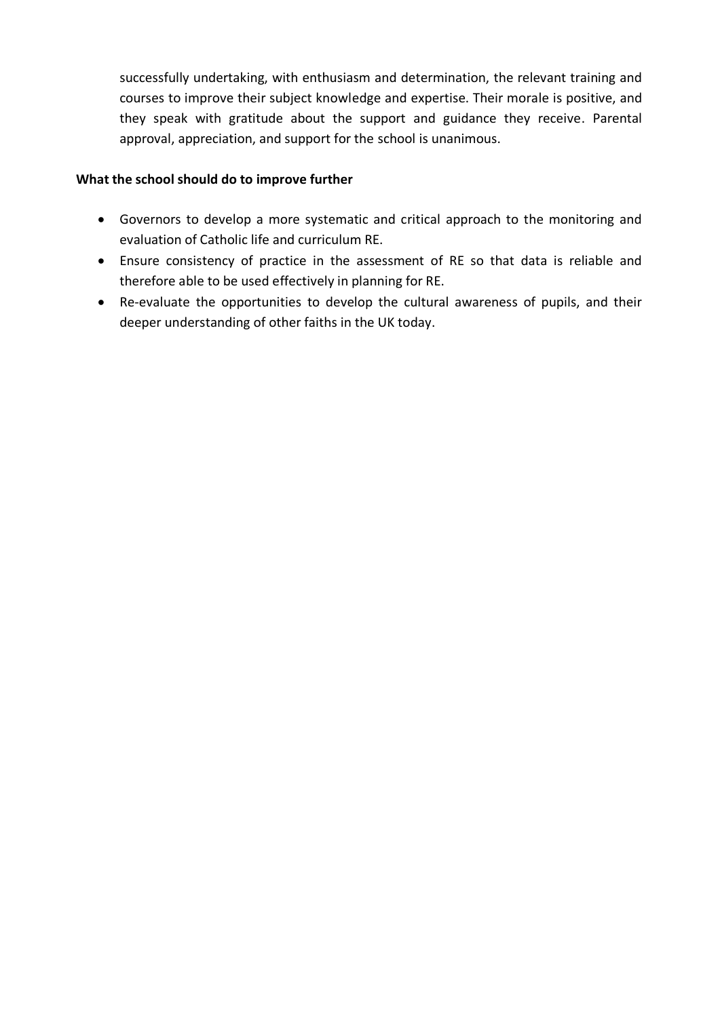successfully undertaking, with enthusiasm and determination, the relevant training and courses to improve their subject knowledge and expertise. Their morale is positive, and they speak with gratitude about the support and guidance they receive. Parental approval, appreciation, and support for the school is unanimous.

## **What the school should do to improve further**

- Governors to develop a more systematic and critical approach to the monitoring and evaluation of Catholic life and curriculum RE.
- Ensure consistency of practice in the assessment of RE so that data is reliable and therefore able to be used effectively in planning for RE.
- Re-evaluate the opportunities to develop the cultural awareness of pupils, and their deeper understanding of other faiths in the UK today.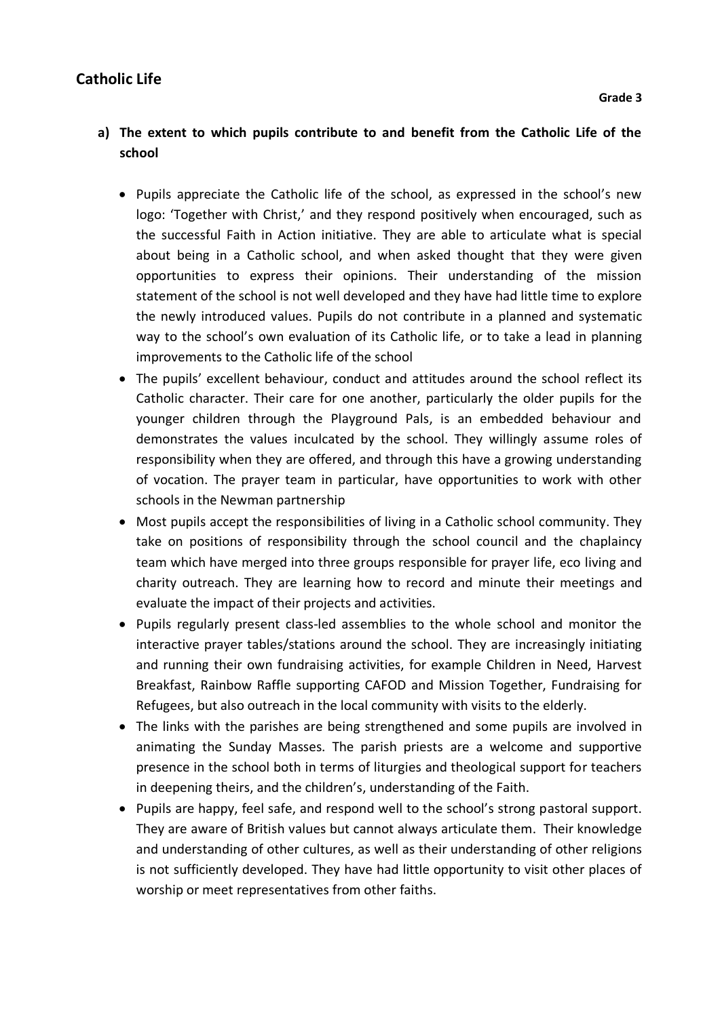# **Catholic Life**

# **a) The extent to which pupils contribute to and benefit from the Catholic Life of the school**

- Pupils appreciate the Catholic life of the school, as expressed in the school's new logo: 'Together with Christ,' and they respond positively when encouraged, such as the successful Faith in Action initiative. They are able to articulate what is special about being in a Catholic school, and when asked thought that they were given opportunities to express their opinions. Their understanding of the mission statement of the school is not well developed and they have had little time to explore the newly introduced values. Pupils do not contribute in a planned and systematic way to the school's own evaluation of its Catholic life, or to take a lead in planning improvements to the Catholic life of the school
- The pupils' excellent behaviour, conduct and attitudes around the school reflect its Catholic character. Their care for one another, particularly the older pupils for the younger children through the Playground Pals, is an embedded behaviour and demonstrates the values inculcated by the school. They willingly assume roles of responsibility when they are offered, and through this have a growing understanding of vocation. The prayer team in particular, have opportunities to work with other schools in the Newman partnership
- Most pupils accept the responsibilities of living in a Catholic school community. They take on positions of responsibility through the school council and the chaplaincy team which have merged into three groups responsible for prayer life, eco living and charity outreach. They are learning how to record and minute their meetings and evaluate the impact of their projects and activities.
- Pupils regularly present class-led assemblies to the whole school and monitor the interactive prayer tables/stations around the school. They are increasingly initiating and running their own fundraising activities, for example Children in Need, Harvest Breakfast, Rainbow Raffle supporting CAFOD and Mission Together, Fundraising for Refugees, but also outreach in the local community with visits to the elderly.
- The links with the parishes are being strengthened and some pupils are involved in animating the Sunday Masses. The parish priests are a welcome and supportive presence in the school both in terms of liturgies and theological support for teachers in deepening theirs, and the children's, understanding of the Faith.
- Pupils are happy, feel safe, and respond well to the school's strong pastoral support. They are aware of British values but cannot always articulate them. Their knowledge and understanding of other cultures, as well as their understanding of other religions is not sufficiently developed. They have had little opportunity to visit other places of worship or meet representatives from other faiths.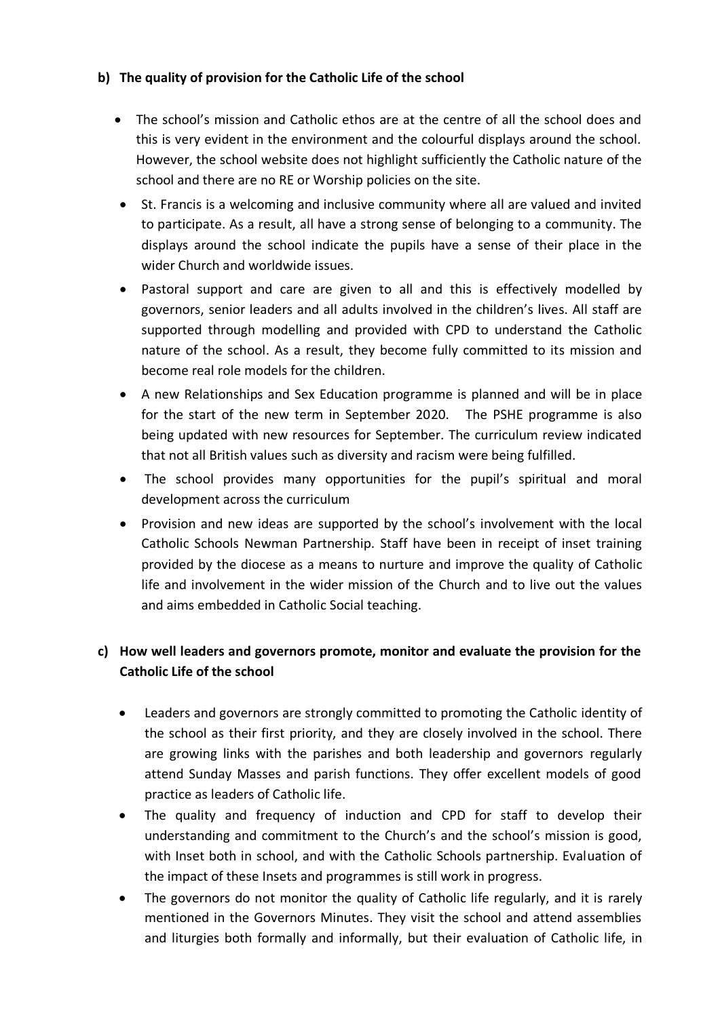## **b) The quality of provision for the Catholic Life of the school**

- The school's mission and Catholic ethos are at the centre of all the school does and this is very evident in the environment and the colourful displays around the school. However, the school website does not highlight sufficiently the Catholic nature of the school and there are no RE or Worship policies on the site.
- St. Francis is a welcoming and inclusive community where all are valued and invited to participate. As a result, all have a strong sense of belonging to a community. The displays around the school indicate the pupils have a sense of their place in the wider Church and worldwide issues.
- Pastoral support and care are given to all and this is effectively modelled by governors, senior leaders and all adults involved in the children's lives. All staff are supported through modelling and provided with CPD to understand the Catholic nature of the school. As a result, they become fully committed to its mission and become real role models for the children.
- A new Relationships and Sex Education programme is planned and will be in place for the start of the new term in September 2020. The PSHE programme is also being updated with new resources for September. The curriculum review indicated that not all British values such as diversity and racism were being fulfilled.
- The school provides many opportunities for the pupil's spiritual and moral development across the curriculum
- Provision and new ideas are supported by the school's involvement with the local Catholic Schools Newman Partnership. Staff have been in receipt of inset training provided by the diocese as a means to nurture and improve the quality of Catholic life and involvement in the wider mission of the Church and to live out the values and aims embedded in Catholic Social teaching.

# **c) How well leaders and governors promote, monitor and evaluate the provision for the Catholic Life of the school**

- Leaders and governors are strongly committed to promoting the Catholic identity of the school as their first priority, and they are closely involved in the school. There are growing links with the parishes and both leadership and governors regularly attend Sunday Masses and parish functions. They offer excellent models of good practice as leaders of Catholic life.
- The quality and frequency of induction and CPD for staff to develop their understanding and commitment to the Church's and the school's mission is good, with Inset both in school, and with the Catholic Schools partnership. Evaluation of the impact of these Insets and programmes is still work in progress.
- The governors do not monitor the quality of Catholic life regularly, and it is rarely mentioned in the Governors Minutes. They visit the school and attend assemblies and liturgies both formally and informally, but their evaluation of Catholic life, in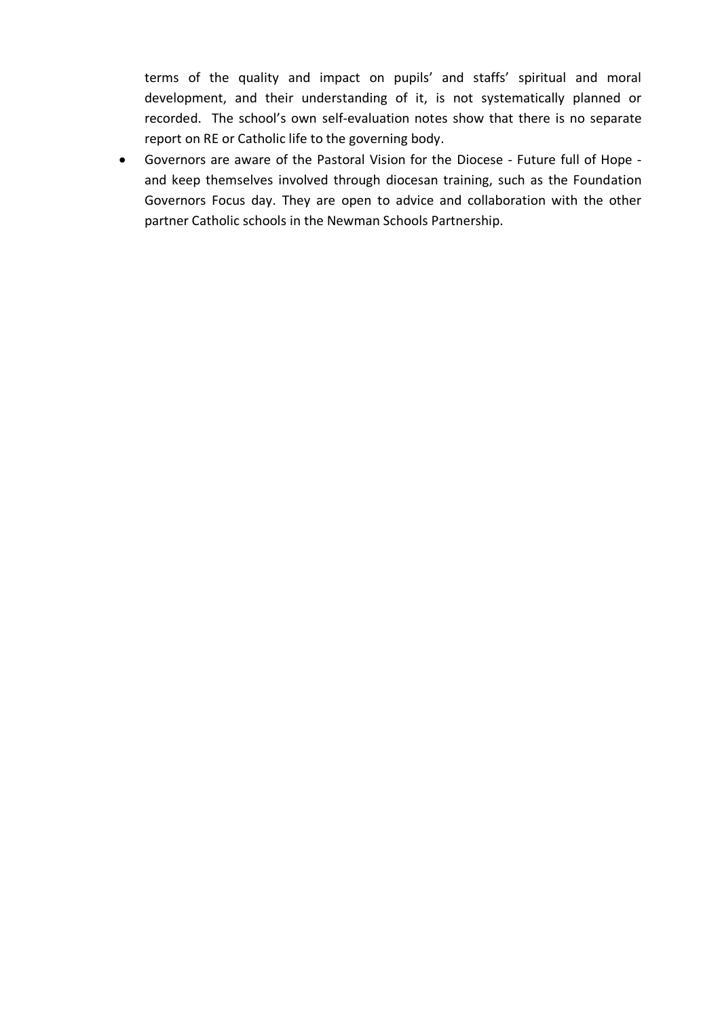terms of the quality and impact on pupils' and staffs' spiritual and moral development, and their understanding of it, is not systematically planned or recorded. The school's own self-evaluation notes show that there is no separate report on RE or Catholic life to the governing body.

• Governors are aware of the Pastoral Vision for the Diocese - Future full of Hope and keep themselves involved through diocesan training, such as the Foundation Governors Focus day. They are open to advice and collaboration with the other partner Catholic schools in the Newman Schools Partnership.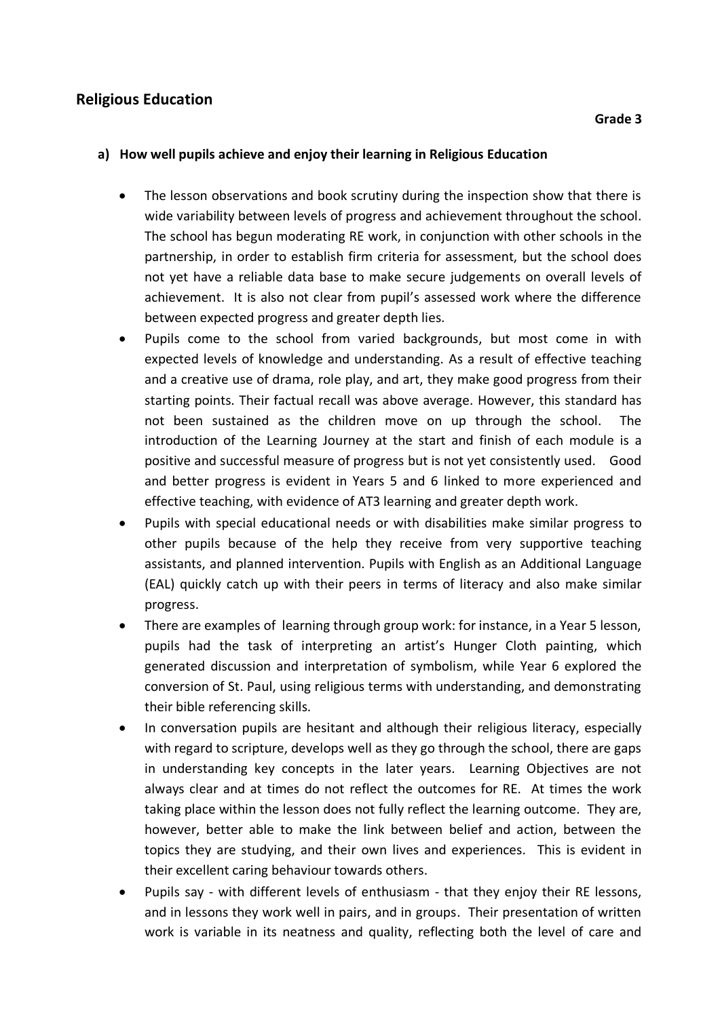## **Religious Education**

#### **a) How well pupils achieve and enjoy their learning in Religious Education**

- The lesson observations and book scrutiny during the inspection show that there is wide variability between levels of progress and achievement throughout the school. The school has begun moderating RE work, in conjunction with other schools in the partnership, in order to establish firm criteria for assessment, but the school does not yet have a reliable data base to make secure judgements on overall levels of achievement. It is also not clear from pupil's assessed work where the difference between expected progress and greater depth lies.
- Pupils come to the school from varied backgrounds, but most come in with expected levels of knowledge and understanding. As a result of effective teaching and a creative use of drama, role play, and art, they make good progress from their starting points. Their factual recall was above average. However, this standard has not been sustained as the children move on up through the school. The introduction of the Learning Journey at the start and finish of each module is a positive and successful measure of progress but is not yet consistently used. Good and better progress is evident in Years 5 and 6 linked to more experienced and effective teaching, with evidence of AT3 learning and greater depth work.
- Pupils with special educational needs or with disabilities make similar progress to other pupils because of the help they receive from very supportive teaching assistants, and planned intervention. Pupils with English as an Additional Language (EAL) quickly catch up with their peers in terms of literacy and also make similar progress.
- There are examples of learning through group work: for instance, in a Year 5 lesson, pupils had the task of interpreting an artist's Hunger Cloth painting, which generated discussion and interpretation of symbolism, while Year 6 explored the conversion of St. Paul, using religious terms with understanding, and demonstrating their bible referencing skills.
- In conversation pupils are hesitant and although their religious literacy, especially with regard to scripture, develops well as they go through the school, there are gaps in understanding key concepts in the later years. Learning Objectives are not always clear and at times do not reflect the outcomes for RE. At times the work taking place within the lesson does not fully reflect the learning outcome. They are, however, better able to make the link between belief and action, between the topics they are studying, and their own lives and experiences. This is evident in their excellent caring behaviour towards others.
- Pupils say with different levels of enthusiasm that they enjoy their RE lessons, and in lessons they work well in pairs, and in groups. Their presentation of written work is variable in its neatness and quality, reflecting both the level of care and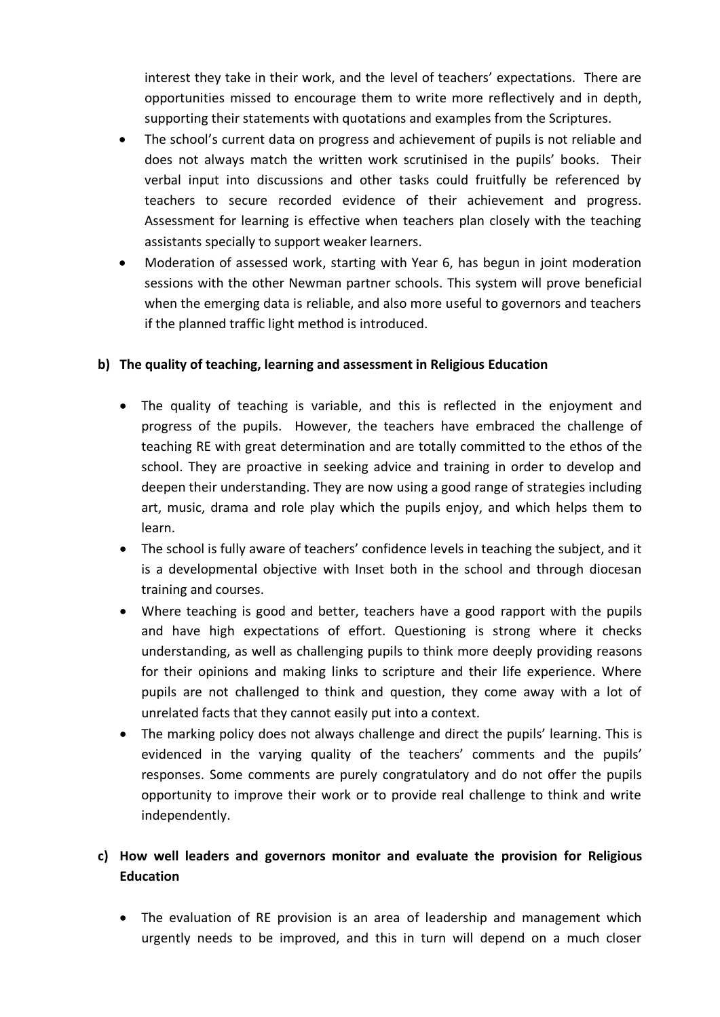interest they take in their work, and the level of teachers' expectations. There are opportunities missed to encourage them to write more reflectively and in depth, supporting their statements with quotations and examples from the Scriptures.

- The school's current data on progress and achievement of pupils is not reliable and does not always match the written work scrutinised in the pupils' books. Their verbal input into discussions and other tasks could fruitfully be referenced by teachers to secure recorded evidence of their achievement and progress. Assessment for learning is effective when teachers plan closely with the teaching assistants specially to support weaker learners.
- Moderation of assessed work, starting with Year 6, has begun in joint moderation sessions with the other Newman partner schools. This system will prove beneficial when the emerging data is reliable, and also more useful to governors and teachers if the planned traffic light method is introduced.

## **b) The quality of teaching, learning and assessment in Religious Education**

- The quality of teaching is variable, and this is reflected in the enjoyment and progress of the pupils. However, the teachers have embraced the challenge of teaching RE with great determination and are totally committed to the ethos of the school. They are proactive in seeking advice and training in order to develop and deepen their understanding. They are now using a good range of strategies including art, music, drama and role play which the pupils enjoy, and which helps them to learn.
- The school is fully aware of teachers' confidence levels in teaching the subject, and it is a developmental objective with Inset both in the school and through diocesan training and courses.
- Where teaching is good and better, teachers have a good rapport with the pupils and have high expectations of effort. Questioning is strong where it checks understanding, as well as challenging pupils to think more deeply providing reasons for their opinions and making links to scripture and their life experience. Where pupils are not challenged to think and question, they come away with a lot of unrelated facts that they cannot easily put into a context.
- The marking policy does not always challenge and direct the pupils' learning. This is evidenced in the varying quality of the teachers' comments and the pupils' responses. Some comments are purely congratulatory and do not offer the pupils opportunity to improve their work or to provide real challenge to think and write independently.

# **c) How well leaders and governors monitor and evaluate the provision for Religious Education**

• The evaluation of RE provision is an area of leadership and management which urgently needs to be improved, and this in turn will depend on a much closer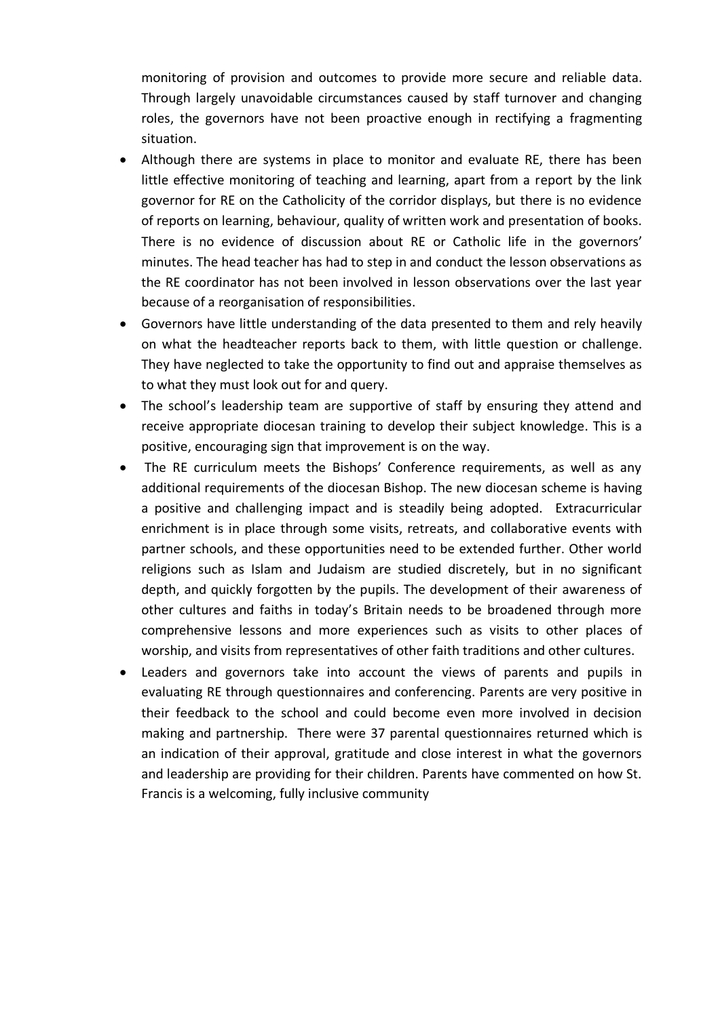monitoring of provision and outcomes to provide more secure and reliable data. Through largely unavoidable circumstances caused by staff turnover and changing roles, the governors have not been proactive enough in rectifying a fragmenting situation.

- Although there are systems in place to monitor and evaluate RE, there has been little effective monitoring of teaching and learning, apart from a report by the link governor for RE on the Catholicity of the corridor displays, but there is no evidence of reports on learning, behaviour, quality of written work and presentation of books. There is no evidence of discussion about RE or Catholic life in the governors' minutes. The head teacher has had to step in and conduct the lesson observations as the RE coordinator has not been involved in lesson observations over the last year because of a reorganisation of responsibilities.
- Governors have little understanding of the data presented to them and rely heavily on what the headteacher reports back to them, with little question or challenge. They have neglected to take the opportunity to find out and appraise themselves as to what they must look out for and query.
- The school's leadership team are supportive of staff by ensuring they attend and receive appropriate diocesan training to develop their subject knowledge. This is a positive, encouraging sign that improvement is on the way.
- The RE curriculum meets the Bishops' Conference requirements, as well as any additional requirements of the diocesan Bishop. The new diocesan scheme is having a positive and challenging impact and is steadily being adopted. Extracurricular enrichment is in place through some visits, retreats, and collaborative events with partner schools, and these opportunities need to be extended further. Other world religions such as Islam and Judaism are studied discretely, but in no significant depth, and quickly forgotten by the pupils. The development of their awareness of other cultures and faiths in today's Britain needs to be broadened through more comprehensive lessons and more experiences such as visits to other places of worship, and visits from representatives of other faith traditions and other cultures.
- Leaders and governors take into account the views of parents and pupils in evaluating RE through questionnaires and conferencing. Parents are very positive in their feedback to the school and could become even more involved in decision making and partnership. There were 37 parental questionnaires returned which is an indication of their approval, gratitude and close interest in what the governors and leadership are providing for their children. Parents have commented on how St. Francis is a welcoming, fully inclusive community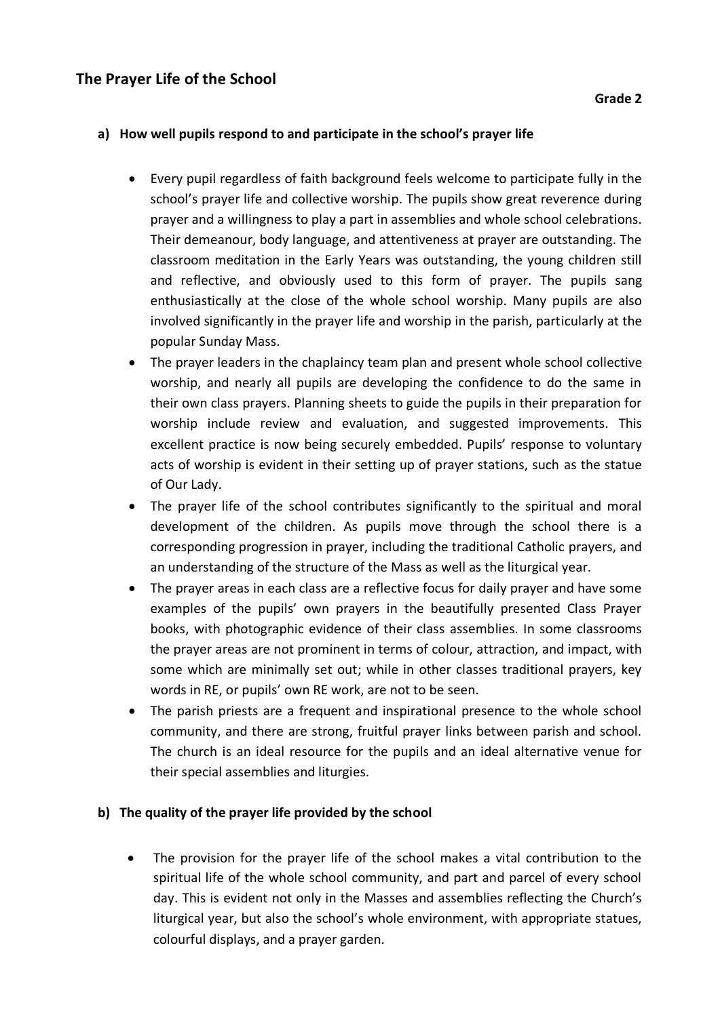# **The Prayer Life of the School**

### **a) How well pupils respond to and participate in the school's prayer life**

- Every pupil regardless of faith background feels welcome to participate fully in the school's prayer life and collective worship. The pupils show great reverence during prayer and a willingness to play a part in assemblies and whole school celebrations. Their demeanour, body language, and attentiveness at prayer are outstanding. The classroom meditation in the Early Years was outstanding, the young children still and reflective, and obviously used to this form of prayer. The pupils sang enthusiastically at the close of the whole school worship. Many pupils are also involved significantly in the prayer life and worship in the parish, particularly at the popular Sunday Mass.
- The prayer leaders in the chaplaincy team plan and present whole school collective worship, and nearly all pupils are developing the confidence to do the same in their own class prayers. Planning sheets to guide the pupils in their preparation for worship include review and evaluation, and suggested improvements. This excellent practice is now being securely embedded. Pupils' response to voluntary acts of worship is evident in their setting up of prayer stations, such as the statue of Our Lady.
- The prayer life of the school contributes significantly to the spiritual and moral development of the children. As pupils move through the school there is a corresponding progression in prayer, including the traditional Catholic prayers, and an understanding of the structure of the Mass as well as the liturgical year.
- The prayer areas in each class are a reflective focus for daily prayer and have some examples of the pupils' own prayers in the beautifully presented Class Prayer books, with photographic evidence of their class assemblies. In some classrooms the prayer areas are not prominent in terms of colour, attraction, and impact, with some which are minimally set out; while in other classes traditional prayers, key words in RE, or pupils' own RE work, are not to be seen.
- The parish priests are a frequent and inspirational presence to the whole school community, and there are strong, fruitful prayer links between parish and school. The church is an ideal resource for the pupils and an ideal alternative venue for their special assemblies and liturgies.

## **b) The quality of the prayer life provided by the school**

• The provision for the prayer life of the school makes a vital contribution to the spiritual life of the whole school community, and part and parcel of every school day. This is evident not only in the Masses and assemblies reflecting the Church's liturgical year, but also the school's whole environment, with appropriate statues, colourful displays, and a prayer garden.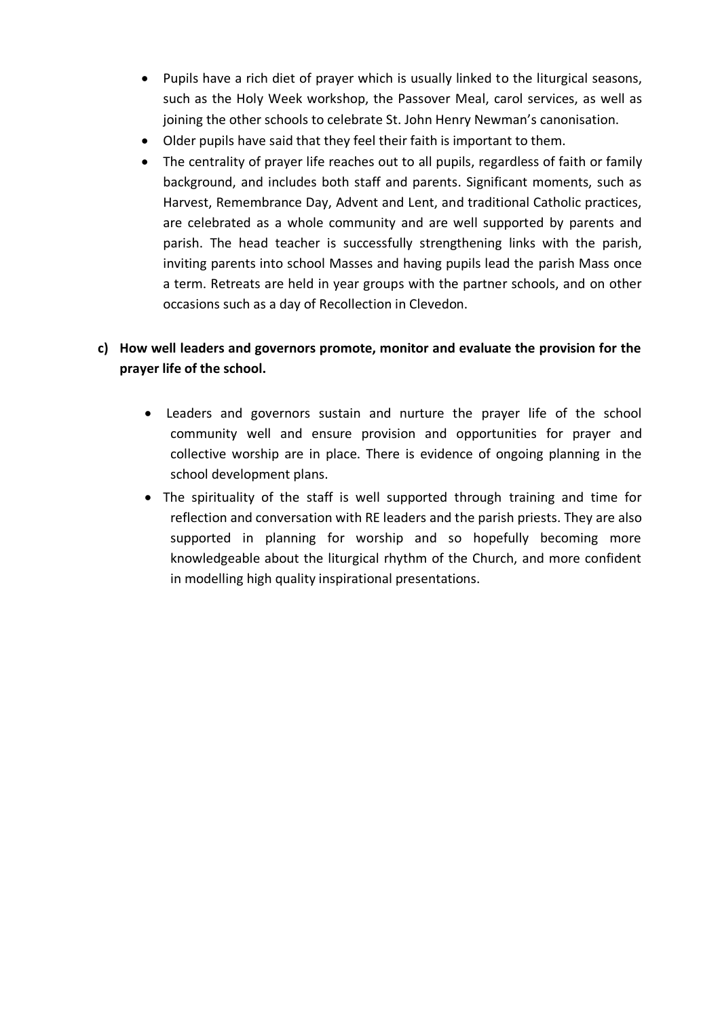- Pupils have a rich diet of prayer which is usually linked to the liturgical seasons, such as the Holy Week workshop, the Passover Meal, carol services, as well as joining the other schools to celebrate St. John Henry Newman's canonisation.
- Older pupils have said that they feel their faith is important to them.
- The centrality of prayer life reaches out to all pupils, regardless of faith or family background, and includes both staff and parents. Significant moments, such as Harvest, Remembrance Day, Advent and Lent, and traditional Catholic practices, are celebrated as a whole community and are well supported by parents and parish. The head teacher is successfully strengthening links with the parish, inviting parents into school Masses and having pupils lead the parish Mass once a term. Retreats are held in year groups with the partner schools, and on other occasions such as a day of Recollection in Clevedon.

# **c) How well leaders and governors promote, monitor and evaluate the provision for the prayer life of the school.**

- Leaders and governors sustain and nurture the prayer life of the school community well and ensure provision and opportunities for prayer and collective worship are in place. There is evidence of ongoing planning in the school development plans.
- The spirituality of the staff is well supported through training and time for reflection and conversation with RE leaders and the parish priests. They are also supported in planning for worship and so hopefully becoming more knowledgeable about the liturgical rhythm of the Church, and more confident in modelling high quality inspirational presentations.